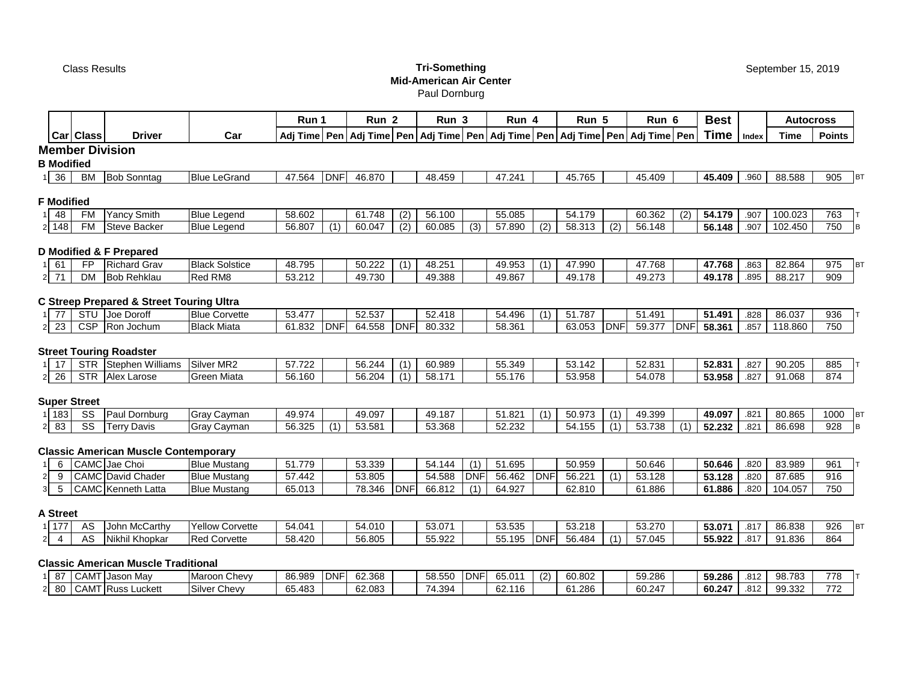г

# Class Results **Tri-Something Mid-American Air Center**

Paul Dornburg

|                                    |                        |                                                     |                        | Run 1  |            | Run <sub>2</sub> |                  | Run <sub>3</sub> |                  | Run 4  |            | Run 5                                                                                               |                  | Run 6  |            | <b>Best</b> |       | <b>Autocross</b> |               |           |
|------------------------------------|------------------------|-----------------------------------------------------|------------------------|--------|------------|------------------|------------------|------------------|------------------|--------|------------|-----------------------------------------------------------------------------------------------------|------------------|--------|------------|-------------|-------|------------------|---------------|-----------|
|                                    | Car Class              | <b>Driver</b>                                       | Car                    |        |            |                  |                  |                  |                  |        |            | Adj Time   Pen   Adj Time   Pen   Adj Time   Pen   Adj Time   Pen   Adj Time   Pen   Adj Time   Pen |                  |        |            | <b>Time</b> | Index | <b>Time</b>      | <b>Points</b> |           |
|                                    |                        | <b>Member Division</b>                              |                        |        |            |                  |                  |                  |                  |        |            |                                                                                                     |                  |        |            |             |       |                  |               |           |
| <b>B</b> Modified                  |                        |                                                     |                        |        |            |                  |                  |                  |                  |        |            |                                                                                                     |                  |        |            |             |       |                  |               |           |
| 36<br>11                           | <b>BM</b>              | <b>Bob Sonntag</b>                                  | <b>Blue LeGrand</b>    | 47.564 | <b>DNF</b> | 46.870           |                  | 48.459           |                  | 47.241 |            | 45.765                                                                                              |                  | 45.409 |            | 45.409      | .960  | 88.588           | 905           | <b>BT</b> |
|                                    |                        |                                                     |                        |        |            |                  |                  |                  |                  |        |            |                                                                                                     |                  |        |            |             |       |                  |               |           |
| <b>F</b> Modified                  |                        |                                                     |                        |        |            |                  |                  |                  |                  |        |            |                                                                                                     |                  |        |            |             |       |                  |               |           |
| 48                                 | <b>FM</b>              | <b>Yancy Smith</b>                                  | <b>Blue Legend</b>     | 58.602 |            | 61.748           | (2)              | 56.100           |                  | 55.085 |            | 54.179                                                                                              |                  | 60.362 | (2)        | 54.179      | .907  | 100.023          | 763           |           |
| 2 148                              | FM                     | <b>Steve Backer</b>                                 | <b>Blue Legend</b>     | 56.807 | (1)        | 60.047           | $\overline{(2)}$ | 60.085           | $\overline{(3)}$ | 57.890 | (2)        | 58.313                                                                                              | $\overline{(2)}$ | 56.148 |            | 56.148      | .907  | 102.450          | 750           |           |
|                                    |                        | D Modified & F Prepared                             |                        |        |            |                  |                  |                  |                  |        |            |                                                                                                     |                  |        |            |             |       |                  |               |           |
| 61                                 | <b>FP</b>              | <b>Richard Grav</b>                                 | <b>Black Solstice</b>  | 48.795 |            | 50.222           | (1)              | 48.251           |                  | 49.953 | (1)        | 47.990                                                                                              |                  | 47.768 |            | 47.768      | .863  | 82.864           | 975           | BT        |
| 71<br>$\mathbf{2}$                 | <b>DM</b>              | <b>Bob Rehklau</b>                                  | Red RM8                | 53.212 |            | 49.730           |                  | 49.388           |                  | 49.867 |            | 49.178                                                                                              |                  | 49.273 |            | 49.178      | .895  | 88.217           | 909           |           |
|                                    |                        |                                                     |                        |        |            |                  |                  |                  |                  |        |            |                                                                                                     |                  |        |            |             |       |                  |               |           |
|                                    |                        | <b>C Streep Prepared &amp; Street Touring Ultra</b> |                        |        |            |                  |                  |                  |                  |        |            |                                                                                                     |                  |        |            |             |       |                  |               |           |
| 77                                 |                        | STU Joe Doroff                                      | <b>Blue Corvette</b>   | 53.477 |            | 52.537           |                  | 52.418           |                  | 54.496 | (1)        | 51.787                                                                                              |                  | 51.491 |            | 51.491      | .828  | 86.037           | 936           |           |
| 23<br>2 <sub>l</sub>               | <b>CSP</b>             | Ron Jochum                                          | <b>Black Miata</b>     | 61.832 | <b>DNF</b> | 64.558           | <b>DNF</b>       | 80.332           |                  | 58.361 |            | 63.053                                                                                              | <b>DNF</b>       | 59.377 | <b>DNF</b> | 58.361      | .857  | 118.860          | 750           |           |
|                                    |                        |                                                     |                        |        |            |                  |                  |                  |                  |        |            |                                                                                                     |                  |        |            |             |       |                  |               |           |
|                                    |                        | <b>Street Touring Roadster</b>                      |                        |        |            |                  |                  |                  |                  |        |            |                                                                                                     |                  |        |            |             |       |                  |               |           |
| 17                                 |                        | STR Stephen Williams                                | Silver MR2             | 57.722 |            | 56.244           | (1)              | 60.989           |                  | 55.349 |            | 53.142                                                                                              |                  | 52.831 |            | 52.831      | .827  | 90.205           | 885           |           |
| $\overline{26}$<br>2 <sub>1</sub>  |                        | STR Alex Larose                                     | Green Miata            | 56.160 |            | 56.204           | (1)              | 58.171           |                  | 55.176 |            | 53.958                                                                                              |                  | 54.078 |            | 53.958      | .827  | 91.068           | 874           |           |
|                                    | <b>Super Street</b>    |                                                     |                        |        |            |                  |                  |                  |                  |        |            |                                                                                                     |                  |        |            |             |       |                  |               |           |
| 1 183                              | SS                     | Paul Dornburg                                       | Gray Cayman            | 49.974 |            | 49.097           |                  | 49.187           |                  | 51.821 | (1)        | 50.973                                                                                              | (1)              | 49.399 |            | 49.097      | .821  | 80.865           | 1000          | <b>BT</b> |
| 83<br>$\mathbf{2}$                 | $\overline{\text{ss}}$ | <b>Terry Davis</b>                                  | Gray Cayman            | 56.325 | (1)        | 53.581           |                  | 53.368           |                  | 52.232 |            | 54.155                                                                                              | (1)              | 53.738 | (1)        | 52.232      | .821  | 86.698           | 928           | B         |
|                                    |                        |                                                     |                        |        |            |                  |                  |                  |                  |        |            |                                                                                                     |                  |        |            |             |       |                  |               |           |
|                                    |                        | <b>Classic American Muscle Contemporary</b>         |                        |        |            |                  |                  |                  |                  |        |            |                                                                                                     |                  |        |            |             |       |                  |               |           |
| 6                                  |                        | CAMC Jae Choi                                       | <b>Blue Mustang</b>    | 51.779 |            | 53.339           |                  | 54.144           | (1)              | 51.695 |            | 50.959                                                                                              |                  | 50.646 |            | 50.646      | .820  | 83.989           | 961           |           |
| $\mathbf{2}$<br>9                  |                        | CAMC David Chader                                   | <b>Blue Mustang</b>    | 57.442 |            | 53.805           |                  | 54.588           | <b>DNF</b>       | 56.462 | <b>DNF</b> | 56.221                                                                                              | (1)              | 53.128 |            | 53.128      | .820  | 87.685           | 916           |           |
| 5<br>3 <sup>1</sup>                |                        | CAMC Kenneth Latta                                  | <b>Blue Mustang</b>    | 65.013 |            | 78.346           | <b>DNF</b>       | 66.812           | (1)              | 64.927 |            | 62.810                                                                                              |                  | 61.886 |            | 61.886      | .820  | 104.057          | 750           |           |
| <b>A Street</b>                    |                        |                                                     |                        |        |            |                  |                  |                  |                  |        |            |                                                                                                     |                  |        |            |             |       |                  |               |           |
| 1177                               | AS                     | John McCarthy                                       | <b>Yellow Corvette</b> | 54.041 |            | 54.010           |                  | 53.071           |                  | 53.535 |            | 53.218                                                                                              |                  | 53.270 |            | 53.071      | .817  | 86.838           | 926           | <b>BT</b> |
| $\overline{4}$<br>$2 \overline{)}$ | A <sub>S</sub>         | Nikhil Khopkar                                      | <b>Red Corvette</b>    | 58.420 |            | 56.805           |                  | 55.922           |                  | 55.195 | <b>DNF</b> | 56.484                                                                                              | (1)              | 57.045 |            | 55.922      | .817  | 91.836           | 864           |           |
|                                    |                        |                                                     |                        |        |            |                  |                  |                  |                  |        |            |                                                                                                     |                  |        |            |             |       |                  |               |           |
|                                    |                        | <b>Classic American Muscle Traditional</b>          |                        |        |            |                  |                  |                  |                  |        |            |                                                                                                     |                  |        |            |             |       |                  |               |           |
| 87                                 |                        | CAMT Jason May                                      | Maroon Chevy           | 86.989 | <b>DNF</b> | 62.368           |                  | 58.550           | <b>DNF</b>       | 65.011 | (2)        | 60.802                                                                                              |                  | 59.286 |            | 59.286      | .812  | 98.783           | 778           |           |
| 80<br>$\mathbf{2}$                 |                        | <b>CAMT</b> Russ Luckett                            | <b>Silver Chevy</b>    | 65.483 |            | 62.083           |                  | 74.394           |                  | 62.116 |            | 61.286                                                                                              |                  | 60.247 |            | 60.247      | .812  | 99.332           | 772           |           |

September 15, 2019